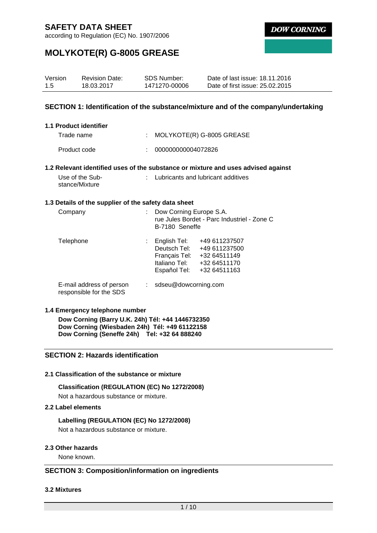according to Regulation (EC) No. 1907/2006

**DOW CORNING** 

# **MOLYKOTE(R) G-8005 GREASE**

| Version | <b>Revision Date:</b> | SDS Number:   | Date of last issue: 18.11.2016  |
|---------|-----------------------|---------------|---------------------------------|
| 1.5     | 18.03.2017            | 1471270-00006 | Date of first issue: 25.02.2015 |

### **SECTION 1: Identification of the substance/mixture and of the company/undertaking**

| 1.1 Product identifier |                                                                         |
|------------------------|-------------------------------------------------------------------------|
| Trade name             | : MOLYKOTE(R) G-8005 GREASE                                             |
| Product code           | 000000000004072826                                                      |
|                        | 1.2 Relevant identified uses of the substance or mixture and uses advis |

#### **1.2 Relevant identified uses of the substance or mixture and uses advised against**

| Use of the Sub- | : Lubricants and lubricant additives |
|-----------------|--------------------------------------|
| stance/Mixture  |                                      |

#### **1.3 Details of the supplier of the safety data sheet**

| Company                                             | Dow Corning Europe S.A.<br>B-7180 Seneffe                                      | rue Jules Bordet - Parc Industriel - Zone C                                    |
|-----------------------------------------------------|--------------------------------------------------------------------------------|--------------------------------------------------------------------------------|
| Telephone                                           | English Tel:<br>Deutsch Tel:<br>Français Tel:<br>Italiano Tel:<br>Español Tel: | +49 611237507<br>+49 611237500<br>+32 64511149<br>+32 64511170<br>+32 64511163 |
| E-mail address of person<br>responsible for the SDS | $:$ sdseu@dowcorning.com                                                       |                                                                                |

### **1.4 Emergency telephone number**

**Dow Corning (Barry U.K. 24h) Tél: +44 1446732350 Dow Corning (Wiesbaden 24h) Tél: +49 61122158 Dow Corning (Seneffe 24h) Tel: +32 64 888240**

## **SECTION 2: Hazards identification**

### **2.1 Classification of the substance or mixture**

### **Classification (REGULATION (EC) No 1272/2008)**

Not a hazardous substance or mixture.

## **2.2 Label elements**

### **Labelling (REGULATION (EC) No 1272/2008)**

Not a hazardous substance or mixture.

### **2.3 Other hazards**

None known.

## **SECTION 3: Composition/information on ingredients**

### **3.2 Mixtures**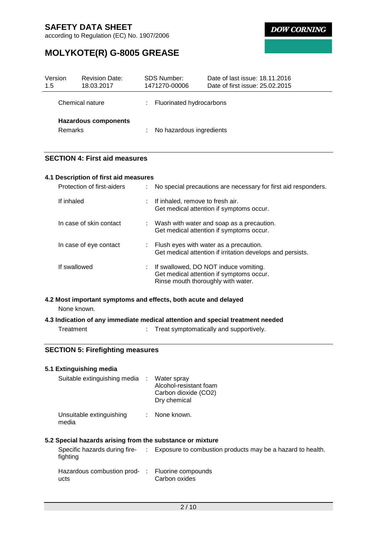according to Regulation (EC) No. 1907/2006

**DOW CORNING** 

# **MOLYKOTE(R) G-8005 GREASE**

| Version<br>1.5  | <b>Revision Date:</b><br>18.03.2017 | <b>SDS Number:</b><br>1471270-00006 |                                 | Date of last issue: 18.11.2016<br>Date of first issue: 25.02.2015 |
|-----------------|-------------------------------------|-------------------------------------|---------------------------------|-------------------------------------------------------------------|
| Chemical nature |                                     |                                     | <b>Fluorinated hydrocarbons</b> |                                                                   |
| <b>Remarks</b>  | <b>Hazardous components</b>         | ÷                                   | No hazardous ingredients        |                                                                   |

## **SECTION 4: First aid measures**

| 4.1 Description of first aid measures |    |                                                                                                                           |  |  |  |  |
|---------------------------------------|----|---------------------------------------------------------------------------------------------------------------------------|--|--|--|--|
| Protection of first-aiders            |    | No special precautions are necessary for first aid responders.                                                            |  |  |  |  |
| If inhaled                            | t. | If inhaled, remove to fresh air.<br>Get medical attention if symptoms occur.                                              |  |  |  |  |
| In case of skin contact               |    | $\therefore$ Wash with water and soap as a precaution.<br>Get medical attention if symptoms occur.                        |  |  |  |  |
| In case of eye contact                |    | $\therefore$ Flush eyes with water as a precaution.<br>Get medical attention if irritation develops and persists.         |  |  |  |  |
| If swallowed                          |    | : If swallowed, DO NOT induce vomiting.<br>Get medical attention if symptoms occur.<br>Rinse mouth thoroughly with water. |  |  |  |  |

**4.2 Most important symptoms and effects, both acute and delayed** None known.

# **4.3 Indication of any immediate medical attention and special treatment needed**

Treatment : Treat symptomatically and supportively.

## **SECTION 5: Firefighting measures**

## **5.1 Extinguishing media**

| Suitable extinguishing media : Water spray | Alcohol-resistant foam<br>Carbon dioxide (CO2)<br>Dry chemical |
|--------------------------------------------|----------------------------------------------------------------|
| Unsuitable extinguishing                   | : None known.                                                  |

### media

**5.2 Special hazards arising from the substance or mixture**

| fighting                                                | Specific hazards during fire- : Exposure to combustion products may be a hazard to health. |
|---------------------------------------------------------|--------------------------------------------------------------------------------------------|
| Hazardous combustion prod- : Fluorine compounds<br>ucts | Carbon oxides                                                                              |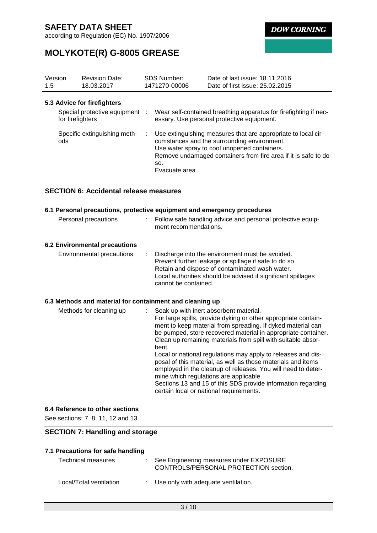according to Regulation (EC) No. 1907/2006

**DOW CORNING** 

# **MOLYKOTE(R) G-8005 GREASE**

| Version<br>1.5                      | <b>Revision Date:</b><br>18.03.2017                           | <b>SDS Number:</b><br>1471270-00006                                                                                                                                                                                                                     | Date of last issue: 18.11.2016<br>Date of first issue: 25.02.2015                                              |
|-------------------------------------|---------------------------------------------------------------|---------------------------------------------------------------------------------------------------------------------------------------------------------------------------------------------------------------------------------------------------------|----------------------------------------------------------------------------------------------------------------|
| for firefighters                    | 5.3 Advice for firefighters<br>Special protective equipment : |                                                                                                                                                                                                                                                         | Wear self-contained breathing apparatus for firefighting if nec-<br>essary. Use personal protective equipment. |
| Specific extinguishing meth-<br>ods |                                                               | Use extinguishing measures that are appropriate to local cir-<br>cumstances and the surrounding environment.<br>Use water spray to cool unopened containers.<br>Remove undamaged containers from fire area if it is safe to do<br>SO.<br>Evacuate area. |                                                                                                                |

## **SECTION 6: Accidental release measures**

| 6.1 Personal precautions, protective equipment and emergency procedures                                                                                                                                                                                                                                                                                                                                                                                                                                                                                                                                                                                                |
|------------------------------------------------------------------------------------------------------------------------------------------------------------------------------------------------------------------------------------------------------------------------------------------------------------------------------------------------------------------------------------------------------------------------------------------------------------------------------------------------------------------------------------------------------------------------------------------------------------------------------------------------------------------------|
| : Follow safe handling advice and personal protective equip-<br>ment recommendations.                                                                                                                                                                                                                                                                                                                                                                                                                                                                                                                                                                                  |
|                                                                                                                                                                                                                                                                                                                                                                                                                                                                                                                                                                                                                                                                        |
| Discharge into the environment must be avoided.<br>Prevent further leakage or spillage if safe to do so.<br>Retain and dispose of contaminated wash water.<br>Local authorities should be advised if significant spillages<br>cannot be contained.                                                                                                                                                                                                                                                                                                                                                                                                                     |
| 6.3 Methods and material for containment and cleaning up                                                                                                                                                                                                                                                                                                                                                                                                                                                                                                                                                                                                               |
| Soak up with inert absorbent material.<br>For large spills, provide dyking or other appropriate contain-<br>ment to keep material from spreading. If dyked material can<br>be pumped, store recovered material in appropriate container.<br>Clean up remaining materials from spill with suitable absor-<br>bent.<br>Local or national regulations may apply to releases and dis-<br>posal of this material, as well as those materials and items<br>employed in the cleanup of releases. You will need to deter-<br>mine which regulations are applicable.<br>Sections 13 and 15 of this SDS provide information regarding<br>certain local or national requirements. |
|                                                                                                                                                                                                                                                                                                                                                                                                                                                                                                                                                                                                                                                                        |

### **6.4 Reference to other sections**

See sections: 7, 8, 11, 12 and 13.

## **SECTION 7: Handling and storage**

## **7.1 Precautions for safe handling**

| Technical measures      | : See Engineering measures under EXPOSURE<br>CONTROLS/PERSONAL PROTECTION section. |
|-------------------------|------------------------------------------------------------------------------------|
| Local/Total ventilation | : Use only with adequate ventilation.                                              |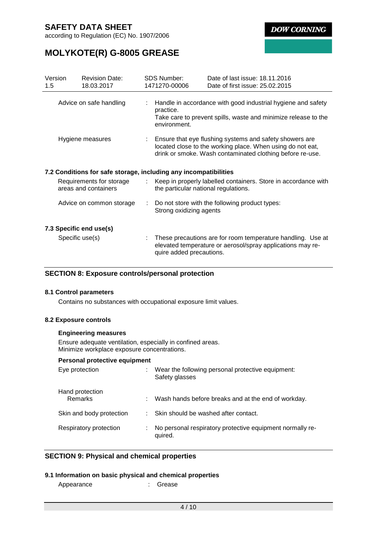according to Regulation (EC) No. 1907/2006

**DOW CORNING** 

# **MOLYKOTE(R) G-8005 GREASE**

| Version<br>1.5                                                   | <b>Revision Date:</b><br>18.03.2017              |  | <b>SDS Number:</b><br>1471270-00006                                                                                                                                                  | Date of last issue: 18.11.2016<br>Date of first issue: 25.02.2015                                                         |  |  |
|------------------------------------------------------------------|--------------------------------------------------|--|--------------------------------------------------------------------------------------------------------------------------------------------------------------------------------------|---------------------------------------------------------------------------------------------------------------------------|--|--|
| Advice on safe handling                                          |                                                  |  | Handle in accordance with good industrial hygiene and safety<br>practice.<br>Take care to prevent spills, waste and minimize release to the<br>environment.                          |                                                                                                                           |  |  |
| Hygiene measures                                                 |                                                  |  | : Ensure that eye flushing systems and safety showers are<br>located close to the working place. When using do not eat,<br>drink or smoke. Wash contaminated clothing before re-use. |                                                                                                                           |  |  |
| 7.2 Conditions for safe storage, including any incompatibilities |                                                  |  |                                                                                                                                                                                      |                                                                                                                           |  |  |
|                                                                  | Requirements for storage<br>areas and containers |  | ÷.<br>the particular national regulations.                                                                                                                                           | Keep in properly labelled containers. Store in accordance with                                                            |  |  |
| Advice on common storage                                         |                                                  |  | Do not store with the following product types:<br>Strong oxidizing agents                                                                                                            |                                                                                                                           |  |  |
| 7.3 Specific end use(s)                                          |                                                  |  |                                                                                                                                                                                      |                                                                                                                           |  |  |
| Specific use(s)                                                  |                                                  |  | quire added precautions.                                                                                                                                                             | These precautions are for room temperature handling. Use at<br>elevated temperature or aerosol/spray applications may re- |  |  |

### **SECTION 8: Exposure controls/personal protection**

### **8.1 Control parameters**

Contains no substances with occupational exposure limit values.

### **8.2 Exposure controls**

#### **Engineering measures**

Ensure adequate ventilation, especially in confined areas. Minimize workplace exposure concentrations.

#### **Personal protective equipment**

| Eye protection             |    | Wear the following personal protective equipment:<br>Safety glasses  |
|----------------------------|----|----------------------------------------------------------------------|
| Hand protection<br>Remarks | ÷. | Wash hands before breaks and at the end of workday.                  |
| Skin and body protection   |    | Skin should be washed after contact.                                 |
| Respiratory protection     |    | No personal respiratory protective equipment normally re-<br>quired. |

## **SECTION 9: Physical and chemical properties**

### **9.1 Information on basic physical and chemical properties**

| Appearance |  | Grease |
|------------|--|--------|
|------------|--|--------|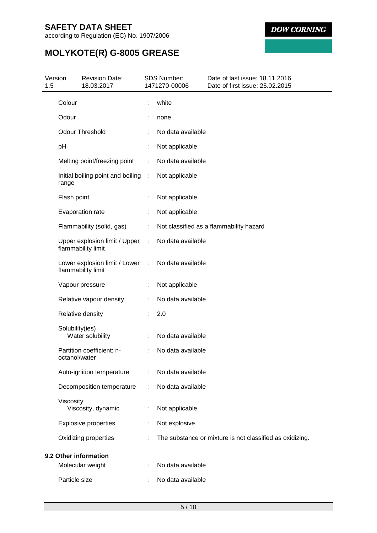according to Regulation (EC) No. 1907/2006

**DOW CORNING** 

# **MOLYKOTE(R) G-8005 GREASE**

| 1.5 | Version         | <b>Revision Date:</b><br>18.03.2017                   |   | <b>SDS Number:</b><br>1471270-00006 | Date of last issue: 18.11.2016<br>Date of first issue: 25.02.2015 |
|-----|-----------------|-------------------------------------------------------|---|-------------------------------------|-------------------------------------------------------------------|
|     | Colour          |                                                       |   | white                               |                                                                   |
|     | Odour           |                                                       |   | none                                |                                                                   |
|     |                 | <b>Odour Threshold</b>                                |   | No data available                   |                                                                   |
|     | pH              |                                                       |   | Not applicable                      |                                                                   |
|     |                 | Melting point/freezing point                          | ÷ | No data available                   |                                                                   |
|     | range           | Initial boiling point and boiling                     | ÷ | Not applicable                      |                                                                   |
|     | Flash point     |                                                       |   | Not applicable                      |                                                                   |
|     |                 | Evaporation rate                                      |   | Not applicable                      |                                                                   |
|     |                 | Flammability (solid, gas)                             | ÷ |                                     | Not classified as a flammability hazard                           |
|     |                 | Upper explosion limit / Upper<br>flammability limit   | ÷ | No data available                   |                                                                   |
|     |                 | Lower explosion limit / Lower :<br>flammability limit |   | No data available                   |                                                                   |
|     |                 | Vapour pressure                                       |   | Not applicable                      |                                                                   |
|     |                 | Relative vapour density                               |   | No data available                   |                                                                   |
|     |                 | Relative density                                      |   | 2.0                                 |                                                                   |
|     | Solubility(ies) | Water solubility                                      |   | No data available                   |                                                                   |
|     | octanol/water   | Partition coefficient: n-                             |   | No data available                   |                                                                   |
|     |                 | Auto-ignition temperature                             | ÷ | No data available                   |                                                                   |
|     |                 | Decomposition temperature                             | ÷ | No data available                   |                                                                   |
|     | Viscosity       | Viscosity, dynamic                                    | ÷ | Not applicable                      |                                                                   |
|     |                 | <b>Explosive properties</b>                           |   | Not explosive                       |                                                                   |
|     |                 | Oxidizing properties                                  |   |                                     | The substance or mixture is not classified as oxidizing.          |
|     |                 | 9.2 Other information                                 |   |                                     |                                                                   |
|     |                 | Molecular weight                                      |   | No data available                   |                                                                   |
|     | Particle size   |                                                       |   | No data available                   |                                                                   |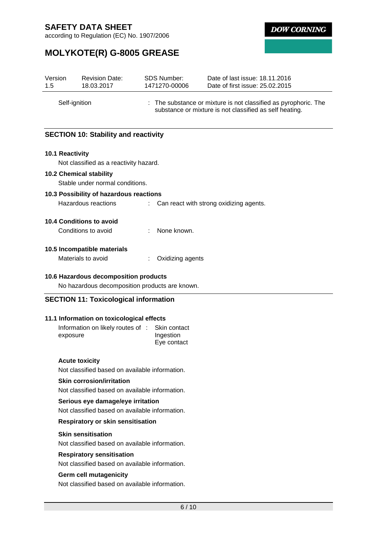according to Regulation (EC) No. 1907/2006

**DOW CORNING** 

# **MOLYKOTE(R) G-8005 GREASE**

| Version<br>1.5  | <b>Revision Date:</b><br>18.03.2017            | <b>SDS Number:</b><br>1471270-00006            | Date of last issue: 18.11.2016<br>Date of first issue: 25.02.2015                                                          |
|-----------------|------------------------------------------------|------------------------------------------------|----------------------------------------------------------------------------------------------------------------------------|
|                 | Self-ignition                                  |                                                | : The substance or mixture is not classified as pyrophoric. The<br>substance or mixture is not classified as self heating. |
|                 | <b>SECTION 10: Stability and reactivity</b>    |                                                |                                                                                                                            |
| 10.1 Reactivity | Not classified as a reactivity hazard.         |                                                |                                                                                                                            |
|                 | <b>10.2 Chemical stability</b>                 |                                                |                                                                                                                            |
|                 | Stable under normal conditions.                |                                                |                                                                                                                            |
|                 | 10.3 Possibility of hazardous reactions        |                                                |                                                                                                                            |
|                 | Hazardous reactions                            |                                                | Can react with strong oxidizing agents.                                                                                    |
|                 | 10.4 Conditions to avoid                       |                                                |                                                                                                                            |
|                 | Conditions to avoid                            | None known.                                    |                                                                                                                            |
|                 | 10.5 Incompatible materials                    |                                                |                                                                                                                            |
|                 | Materials to avoid                             | Oxidizing agents                               |                                                                                                                            |
|                 |                                                |                                                |                                                                                                                            |
|                 | 10.6 Hazardous decomposition products          | No hazardous decomposition products are known. |                                                                                                                            |
|                 |                                                |                                                |                                                                                                                            |
|                 | <b>SECTION 11: Toxicological information</b>   |                                                |                                                                                                                            |
|                 | 11.1 Information on toxicological effects      |                                                |                                                                                                                            |
|                 | Information on likely routes of :              | Skin contact                                   |                                                                                                                            |
| exposure        |                                                | Ingestion                                      |                                                                                                                            |
|                 |                                                | Eye contact                                    |                                                                                                                            |
|                 | <b>Acute toxicity</b>                          |                                                |                                                                                                                            |
|                 | Not classified based on available information. |                                                |                                                                                                                            |
|                 | <b>Skin corrosion/irritation</b>               |                                                |                                                                                                                            |
|                 | Not classified based on available information. |                                                |                                                                                                                            |
|                 | Serious eye damage/eye irritation              |                                                |                                                                                                                            |
|                 | Not classified based on available information. |                                                |                                                                                                                            |
|                 | <b>Respiratory or skin sensitisation</b>       |                                                |                                                                                                                            |
|                 | <b>Skin sensitisation</b>                      |                                                |                                                                                                                            |
|                 | Not classified based on available information. |                                                |                                                                                                                            |
|                 | <b>Respiratory sensitisation</b>               |                                                |                                                                                                                            |
|                 | Not classified based on available information. |                                                |                                                                                                                            |
|                 | Germ cell mutagenicity                         |                                                |                                                                                                                            |
|                 | Not classified based on available information. |                                                |                                                                                                                            |
|                 |                                                |                                                |                                                                                                                            |
|                 |                                                | $6/10$                                         |                                                                                                                            |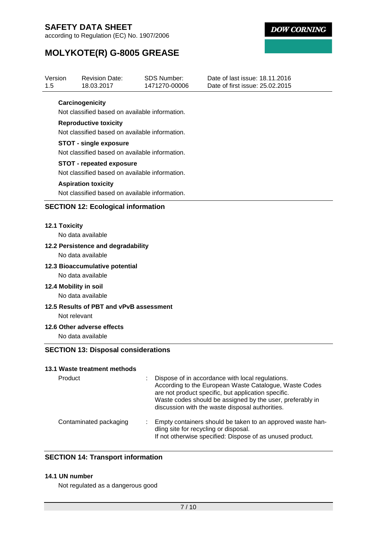Version

according to Regulation (EC) No. 1907/2006

Revision Date:



Date of last issue: 18.11.2016

# **MOLYKOTE(R) G-8005 GREASE**

| 1.5 | 18.03.2017                                     | 1471270-00006 | Date of first issue: 25.02.2015                                                                               |
|-----|------------------------------------------------|---------------|---------------------------------------------------------------------------------------------------------------|
|     | Carcinogenicity                                |               |                                                                                                               |
|     | Not classified based on available information. |               |                                                                                                               |
|     | <b>Reproductive toxicity</b>                   |               |                                                                                                               |
|     | Not classified based on available information. |               |                                                                                                               |
|     | <b>STOT - single exposure</b>                  |               |                                                                                                               |
|     | Not classified based on available information. |               |                                                                                                               |
|     | <b>STOT - repeated exposure</b>                |               |                                                                                                               |
|     | Not classified based on available information. |               |                                                                                                               |
|     | <b>Aspiration toxicity</b>                     |               |                                                                                                               |
|     | Not classified based on available information. |               |                                                                                                               |
|     | <b>SECTION 12: Ecological information</b>      |               |                                                                                                               |
|     | 12.1 Toxicity                                  |               |                                                                                                               |
|     | No data available                              |               |                                                                                                               |
|     | 12.2 Persistence and degradability             |               |                                                                                                               |
|     | No data available                              |               |                                                                                                               |
|     | 12.3 Bioaccumulative potential                 |               |                                                                                                               |
|     | No data available                              |               |                                                                                                               |
|     | 12.4 Mobility in soil                          |               |                                                                                                               |
|     | No data available                              |               |                                                                                                               |
|     | 12.5 Results of PBT and vPvB assessment        |               |                                                                                                               |
|     | Not relevant                                   |               |                                                                                                               |
|     | 12.6 Other adverse effects                     |               |                                                                                                               |
|     | No data available                              |               |                                                                                                               |
|     | <b>SECTION 13: Disposal considerations</b>     |               |                                                                                                               |
|     | 13.1 Waste treatment methods                   |               |                                                                                                               |
|     | Product                                        |               | Dispose of in accordance with local regulations.                                                              |
|     |                                                |               | According to the European Waste Catalogue, Waste Codes<br>are not product specific, but application specific. |
|     |                                                |               | Waste codes should be assigned by the user, preferably in                                                     |
|     |                                                |               | discussion with the waste disposal authorities.                                                               |
|     | Contaminated packaging                         |               | Empty containers should be taken to an approved waste han-                                                    |
|     |                                                |               | dling site for recycling or disposal.                                                                         |
|     |                                                |               | If not otherwise specified: Dispose of as unused product.                                                     |
|     |                                                |               |                                                                                                               |
|     | <b>SECTION 14: Transport information</b>       |               |                                                                                                               |

SDS Number:

#### **14.1 UN number**

Not regulated as a dangerous good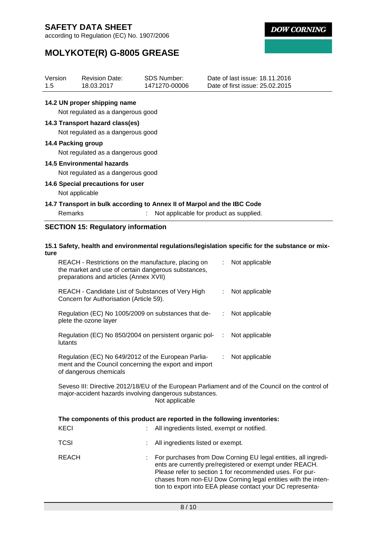according to Regulation (EC) No. 1907/2006

**DOW CORNING** 

# **MOLYKOTE(R) G-8005 GREASE**

| Version<br>Revision Date:<br>1.5<br>18.03.2017 | SDS Number:<br>1471270-00006 | Date of last issue: 18.11.2016<br>Date of first issue: 25.02.2015 |
|------------------------------------------------|------------------------------|-------------------------------------------------------------------|
|------------------------------------------------|------------------------------|-------------------------------------------------------------------|

### **14.2 UN proper shipping name**

Not regulated as a dangerous good

### **14.3 Transport hazard class(es)**

Not regulated as a dangerous good

### **14.4 Packing group**

Not regulated as a dangerous good

### **14.5 Environmental hazards**

Not regulated as a dangerous good

#### **14.6 Special precautions for user**

Not applicable

### **14.7 Transport in bulk according to Annex II of Marpol and the IBC Code**

| Remarks | Not applicable for product as supplied. |
|---------|-----------------------------------------|

## **SECTION 15: Regulatory information**

#### **15.1 Safety, health and environmental regulations/legislation specific for the substance or mixture**

| REACH - Restrictions on the manufacture, placing on<br>the market and use of certain dangerous substances,<br>preparations and articles (Annex XVII) | Not applicable |
|------------------------------------------------------------------------------------------------------------------------------------------------------|----------------|
| REACH - Candidate List of Substances of Very High<br>Concern for Authorisation (Article 59).                                                         | Not applicable |
| Regulation (EC) No 1005/2009 on substances that de-<br>plete the ozone layer                                                                         | Not applicable |
| Regulation (EC) No 850/2004 on persistent organic pol-<br>lutants                                                                                    | Not applicable |
| Regulation (EC) No 649/2012 of the European Parlia-<br>ment and the Council concerning the export and import<br>of dangerous chemicals               | Not applicable |

Seveso III: Directive 2012/18/EU of the European Parliament and of the Council on the control of major-accident hazards involving dangerous substances. Not applicable

|              | The components of this product are reported in the following inventories:                                                                                                                                                                                                                                             |
|--------------|-----------------------------------------------------------------------------------------------------------------------------------------------------------------------------------------------------------------------------------------------------------------------------------------------------------------------|
| KECI         | All ingredients listed, exempt or notified.                                                                                                                                                                                                                                                                           |
| TCSI         | All ingredients listed or exempt.                                                                                                                                                                                                                                                                                     |
| <b>REACH</b> | For purchases from Dow Corning EU legal entities, all ingredi-<br>ents are currently pre/registered or exempt under REACH.<br>Please refer to section 1 for recommended uses. For pur-<br>chases from non-EU Dow Corning legal entities with the inten-<br>tion to export into EEA please contact your DC representa- |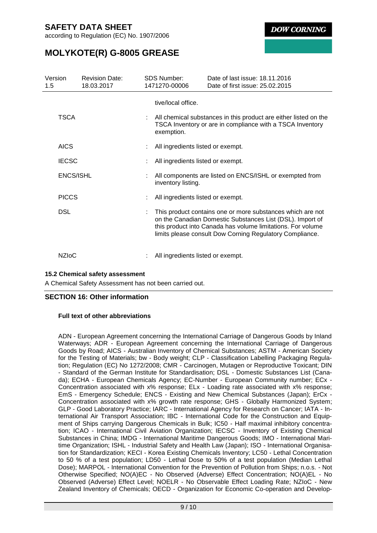according to Regulation (EC) No. 1907/2006

**DOW CORNING** 

# **MOLYKOTE(R) G-8005 GREASE**

| Version<br>1.5 |                  | <b>Revision Date:</b><br>18.03.2017 | <b>SDS Number:</b><br>1471270-00006 | Date of last issue: 18.11.2016<br>Date of first issue: 25.02.2015                                                                                                                                                                                  |
|----------------|------------------|-------------------------------------|-------------------------------------|----------------------------------------------------------------------------------------------------------------------------------------------------------------------------------------------------------------------------------------------------|
|                |                  |                                     | tive/local office.                  |                                                                                                                                                                                                                                                    |
|                | <b>TSCA</b>      |                                     | exemption.                          | : All chemical substances in this product are either listed on the<br>TSCA Inventory or are in compliance with a TSCA Inventory                                                                                                                    |
|                | <b>AICS</b>      |                                     | All ingredients listed or exempt.   |                                                                                                                                                                                                                                                    |
|                | <b>IECSC</b>     |                                     | All ingredients listed or exempt.   |                                                                                                                                                                                                                                                    |
|                | <b>ENCS/ISHL</b> |                                     | inventory listing.                  | All components are listed on ENCS/ISHL or exempted from                                                                                                                                                                                            |
|                | <b>PICCS</b>     |                                     | All ingredients listed or exempt.   |                                                                                                                                                                                                                                                    |
|                | <b>DSL</b>       |                                     |                                     | This product contains one or more substances which are not<br>on the Canadian Domestic Substances List (DSL). Import of<br>this product into Canada has volume limitations. For volume<br>limits please consult Dow Corning Regulatory Compliance. |
|                | <b>NZIOC</b>     |                                     | All ingredients listed or exempt.   |                                                                                                                                                                                                                                                    |

## **15.2 Chemical safety assessment**

A Chemical Safety Assessment has not been carried out.

## **SECTION 16: Other information**

### **Full text of other abbreviations**

ADN - European Agreement concerning the International Carriage of Dangerous Goods by Inland Waterways; ADR - European Agreement concerning the International Carriage of Dangerous Goods by Road; AICS - Australian Inventory of Chemical Substances; ASTM - American Society for the Testing of Materials; bw - Body weight; CLP - Classification Labelling Packaging Regulation; Regulation (EC) No 1272/2008; CMR - Carcinogen, Mutagen or Reproductive Toxicant; DIN - Standard of the German Institute for Standardisation; DSL - Domestic Substances List (Canada); ECHA - European Chemicals Agency; EC-Number - European Community number; ECx - Concentration associated with x% response; ELx - Loading rate associated with x% response; EmS - Emergency Schedule; ENCS - Existing and New Chemical Substances (Japan); ErCx - Concentration associated with x% growth rate response; GHS - Globally Harmonized System; GLP - Good Laboratory Practice; IARC - International Agency for Research on Cancer; IATA - International Air Transport Association; IBC - International Code for the Construction and Equipment of Ships carrying Dangerous Chemicals in Bulk; IC50 - Half maximal inhibitory concentration; ICAO - International Civil Aviation Organization; IECSC - Inventory of Existing Chemical Substances in China; IMDG - International Maritime Dangerous Goods; IMO - International Maritime Organization; ISHL - Industrial Safety and Health Law (Japan); ISO - International Organisation for Standardization; KECI - Korea Existing Chemicals Inventory; LC50 - Lethal Concentration to 50 % of a test population; LD50 - Lethal Dose to 50% of a test population (Median Lethal Dose); MARPOL - International Convention for the Prevention of Pollution from Ships; n.o.s. - Not Otherwise Specified; NO(A)EC - No Observed (Adverse) Effect Concentration; NO(A)EL - No Observed (Adverse) Effect Level; NOELR - No Observable Effect Loading Rate; NZIoC - New Zealand Inventory of Chemicals; OECD - Organization for Economic Co-operation and Develop-